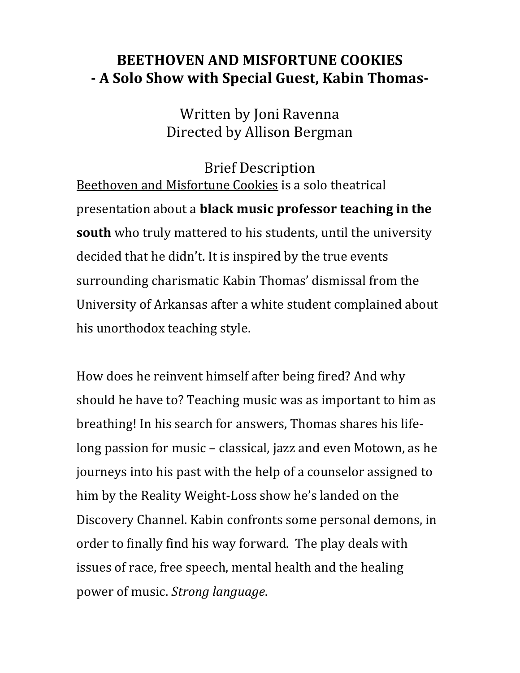## **BEETHOVEN AND MISFORTUNE COOKIES - A Solo Show with Special Guest, Kabin Thomas-**

Written by Joni Ravenna Directed by Allison Bergman

Brief Description Beethoven and Misfortune Cookies is a solo theatrical presentation about a **black music professor teaching in the south** who truly mattered to his students, until the university decided that he didn't. It is inspired by the true events surrounding charismatic Kabin Thomas' dismissal from the University of Arkansas after a white student complained about his unorthodox teaching style.

How does he reinvent himself after being fired? And why should he have to? Teaching music was as important to him as breathing! In his search for answers, Thomas shares his lifelong passion for music – classical, jazz and even Motown, as he journeys into his past with the help of a counselor assigned to him by the Reality Weight-Loss show he's landed on the Discovery Channel. Kabin confronts some personal demons, in order to finally find his way forward. The play deals with issues of race, free speech, mental health and the healing power of music. *Strong language*.